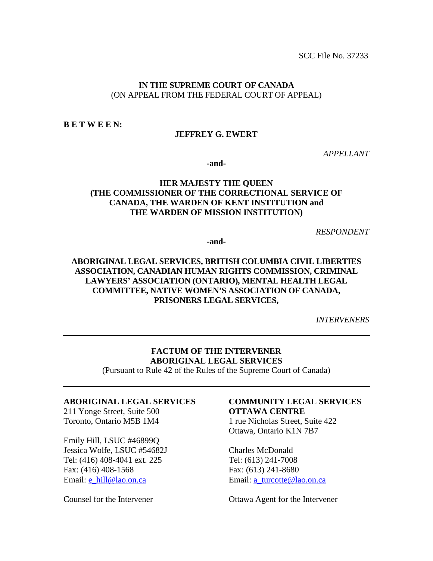SCC File No. 37233

#### **IN THE SUPREME COURT OF CANADA** (ON APPEAL FROM THE FEDERAL COURT OF APPEAL)

**B E T W E E N:**

#### **JEFFREY G. EWERT**

*APPELLANT*

**-and-**

# **HER MAJESTY THE QUEEN (THE COMMISSIONER OF THE CORRECTIONAL SERVICE OF CANADA, THE WARDEN OF KENT INSTITUTION and THE WARDEN OF MISSION INSTITUTION)**

*RESPONDENT*

**-and-**

# **ABORIGINAL LEGAL SERVICES, BRITISH COLUMBIA CIVIL LIBERTIES ASSOCIATION, CANADIAN HUMAN RIGHTS COMMISSION, CRIMINAL LAWYERS' ASSOCIATION (ONTARIO), MENTAL HEALTH LEGAL COMMITTEE, NATIVE WOMEN'S ASSOCIATION OF CANADA, PRISONERS LEGAL SERVICES,**

*INTERVENERS*

#### **FACTUM OF THE INTERVENER ABORIGINAL LEGAL SERVICES**

(Pursuant to Rule 42 of the Rules of the Supreme Court of Canada)

#### **ABORIGINAL LEGAL SERVICES**

211 Yonge Street, Suite 500 Toronto, Ontario M5B 1M4

Emily Hill, LSUC #46899Q Jessica Wolfe, LSUC #54682J Tel: (416) 408-4041 ext. 225 Fax: (416) 408-1568 Email: [e\\_hill@lao.on.ca](mailto:e_hill@lao.on.ca) 

Counsel for the Intervener

# **COMMUNITY LEGAL SERVICES OTTAWA CENTRE**

1 rue Nicholas Street, Suite 422 Ottawa, Ontario K1N 7B7

Charles McDonald Tel: (613) 241-7008 Fax: (613) 241-8680 Email: [a\\_turcotte@lao.on.ca](mailto:a_turcotte@lao.on.ca)

Ottawa Agent for the Intervener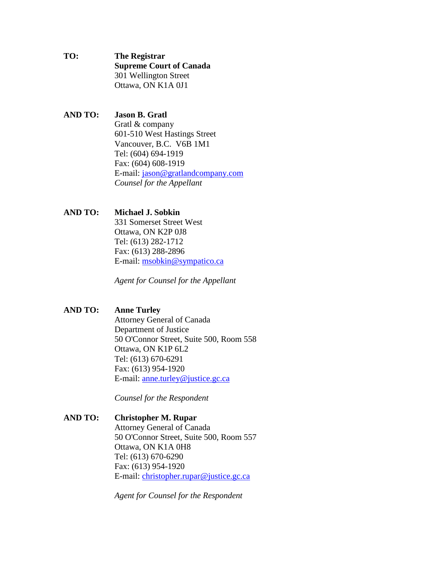- **TO: The Registrar Supreme Court of Canada** 301 Wellington Street Ottawa, ON K1A 0J1
- **AND TO: Jason B. Gratl**  Gratl & company 601-510 West Hastings Street Vancouver, B.C. V6B 1M1 Tel: (604) 694-1919 Fax: (604) 608-1919 E-mail: jason@gratlandcompany.com *Counsel for the Appellant*

#### **AND TO: Michael J. Sobkin**

331 Somerset Street West Ottawa, ON K2P 0J8 Tel: (613) 282-1712 Fax: (613) 288-2896 E-mail: [msobkin@sympatico.ca](mailto:msobkin@sympatico.ca)

*Agent for Counsel for the Appellant* 

#### **AND TO: Anne Turley**

Attorney General of Canada Department of Justice 50 O'Connor Street, Suite 500, Room 558 Ottawa, ON K1P 6L2 Tel: (613) 670-6291 Fax: (613) 954-1920 E-mail: [anne.turley@justice.gc.ca](mailto:anne.turley@justice.gc.ca)

*Counsel for the Respondent* 

**AND TO: Christopher M. Rupar** Attorney General of Canada 50 O'Connor Street, Suite 500, Room 557 Ottawa, ON K1A 0H8 Tel: (613) 670-6290 Fax: (613) 954-1920 E-mail: [christopher.rupar@justice.gc.ca](mailto:christopher.rupar@justice.gc.ca)

*Agent for Counsel for the Respondent*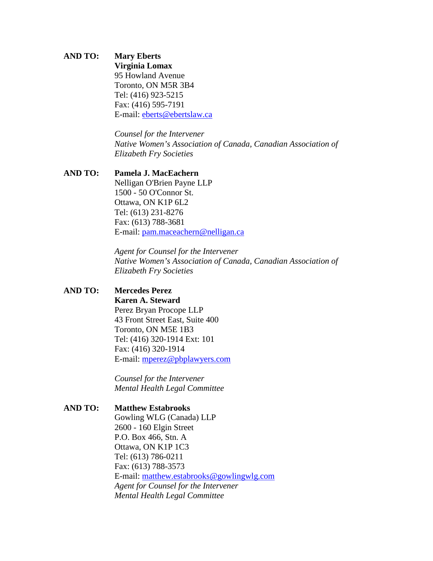# **AND TO: Mary Eberts**

**Virginia Lomax**  95 Howland Avenue Toronto, ON M5R 3B4 Tel: (416) 923-5215 Fax: (416) 595-7191 E-mail: [eberts@ebertslaw.ca](mailto:eberts@ebertslaw.ca)

*Counsel for the Intervener Native Women's Association of Canada, Canadian Association of Elizabeth Fry Societies*

#### **AND TO: Pamela J. MacEachern**

Nelligan O'Brien Payne LLP 1500 - 50 O'Connor St. Ottawa, ON K1P 6L2 Tel: (613) 231-8276 Fax: (613) 788-3681 E-mail: [pam.maceachern@nelligan.ca](mailto:pam.maceachern@nelligan.ca)

*Agent for Counsel for the Intervener Native Women's Association of Canada, Canadian Association of Elizabeth Fry Societies*

## **AND TO: Mercedes Perez**

**Karen A. Steward** Perez Bryan Procope LLP 43 Front Street East, Suite 400 Toronto, ON M5E 1B3 Tel: (416) 320-1914 Ext: 101 Fax: (416) 320-1914 E-mail: [mperez@pbplawyers.com](mailto:mperez@pbplawyers.com)

*Counsel for the Intervener Mental Health Legal Committee*

#### **AND TO: Matthew Estabrooks**

Gowling WLG (Canada) LLP 2600 - 160 Elgin Street P.O. Box 466, Stn. A Ottawa, ON K1P 1C3 Tel: (613) 786-0211 Fax: (613) 788-3573 E-mail: [matthew.estabrooks@gowlingwlg.com](mailto:matthew.estabrooks@gowlingwlg.com) *Agent for Counsel for the Intervener Mental Health Legal Committee*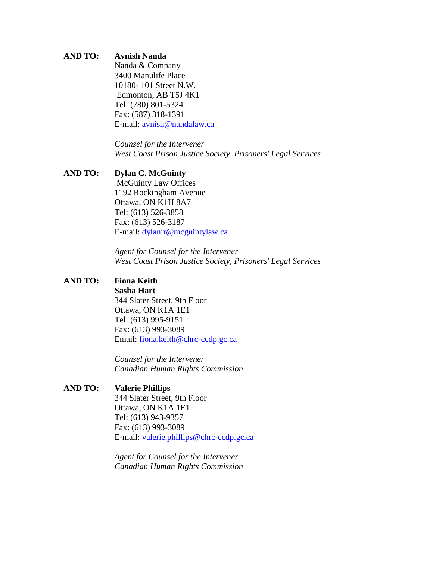# **AND TO: Avnish Nanda**

Nanda & Company 3400 Manulife Place 10180- 101 Street N.W. Edmonton, AB T5J 4K1 Tel: (780) 801-5324 Fax: (587) 318-1391 E-mail: [avnish@nandalaw.ca](mailto:avnish@nandalaw.ca)

> *Counsel for the Intervener West Coast Prison Justice Society, Prisoners' Legal Services*

#### **AND TO: Dylan C. McGuinty**

McGuinty Law Offices 1192 Rockingham Avenue Ottawa, ON K1H 8A7 Tel: (613) 526-3858 Fax: (613) 526-3187 E-mail: [dylanjr@mcguintylaw.ca](mailto:dylanjr@mcguintylaw.ca)

*Agent for Counsel for the Intervener West Coast Prison Justice Society, Prisoners' Legal Services*

#### **AND TO: Fiona Keith**

**Sasha Hart**  344 Slater Street, 9th Floor Ottawa, ON K1A 1E1 Tel: (613) 995-9151 Fax: (613) 993-3089 Email: [fiona.keith@chrc-ccdp.gc.ca](mailto:fiona.keith@chrc-ccdp.gc.ca)

*Counsel for the Intervener Canadian Human Rights Commission* 

# **AND TO: Valerie Phillips**

344 Slater Street, 9th Floor Ottawa, ON K1A 1E1 Tel: (613) 943-9357 Fax: (613) 993-3089 E-mail: [valerie.phillips@chrc-ccdp.gc.ca](mailto:valerie.phillips@chrc-ccdp.gc.ca)

*Agent for Counsel for the Intervener Canadian Human Rights Commission*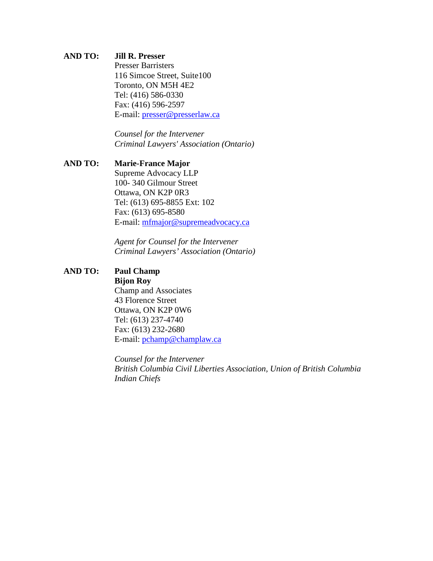#### **AND TO: Jill R. Presser**

Presser Barristers 116 Simcoe Street, Suite100 Toronto, ON M5H 4E2 Tel: (416) 586-0330 Fax: (416) 596-2597 E-mail: [presser@presserlaw.ca](mailto:presser@presserlaw.ca)

*Counsel for the Intervener Criminal Lawyers' Association (Ontario)* 

# **AND TO: Marie-France Major** Supreme Advocacy LLP 100- 340 Gilmour Street Ottawa, ON K2P 0R3 Tel: (613) 695-8855 Ext: 102 Fax: (613) 695-8580 E-mail: [mfmajor@supremeadvocacy.ca](mailto:mfmajor@supremeadvocacy.ca)

*Agent for Counsel for the Intervener Criminal Lawyers' Association (Ontario)*

# **AND TO: Paul Champ**

**Bijon Roy**  Champ and Associates 43 Florence Street Ottawa, ON K2P 0W6 Tel: (613) 237-4740 Fax: (613) 232-2680 E-mail: [pchamp@champlaw.ca](mailto:pchamp@champlaw.ca)

*Counsel for the Intervener British Columbia Civil Liberties Association, Union of British Columbia Indian Chiefs*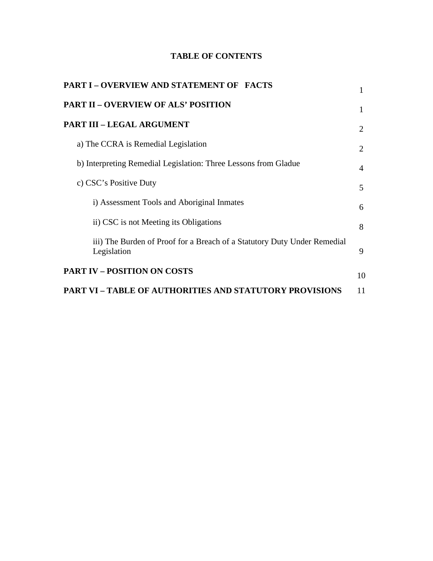# **TABLE OF CONTENTS**

| PART I - OVERVIEW AND STATEMENT OF FACTS                                                |    |
|-----------------------------------------------------------------------------------------|----|
| <b>PART II – OVERVIEW OF ALS' POSITION</b>                                              | 1  |
| PART III – LEGAL ARGUMENT                                                               | 2  |
| a) The CCRA is Remedial Legislation                                                     | 2  |
| b) Interpreting Remedial Legislation: Three Lessons from Gladue                         | 4  |
| c) CSC's Positive Duty                                                                  | 5  |
| i) Assessment Tools and Aboriginal Inmates                                              | 6  |
| ii) CSC is not Meeting its Obligations                                                  | 8  |
| iii) The Burden of Proof for a Breach of a Statutory Duty Under Remedial<br>Legislation | 9  |
| <b>PART IV – POSITION ON COSTS</b>                                                      | 10 |
| <b>PART VI – TABLE OF AUTHORITIES AND STATUTORY PROVISIONS</b>                          | 11 |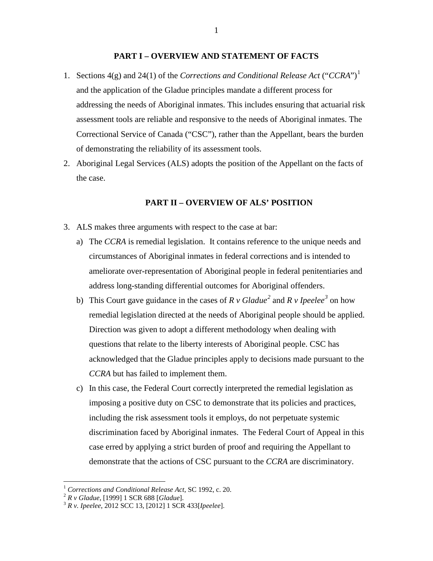#### **PART I – OVERVIEW AND STATEMENT OF FACTS**

- [1](#page-6-0). Sections 4(g) and 24(1) of the *Corrections and Conditional Release Act* ("*CCRA*")<sup>1</sup> and the application of the Gladue principles mandate a different process for addressing the needs of Aboriginal inmates. This includes ensuring that actuarial risk assessment tools are reliable and responsive to the needs of Aboriginal inmates. The Correctional Service of Canada ("CSC"), rather than the Appellant, bears the burden of demonstrating the reliability of its assessment tools.
- 2. Aboriginal Legal Services (ALS) adopts the position of the Appellant on the facts of the case.

#### **PART II – OVERVIEW OF ALS' POSITION**

- 3. ALS makes three arguments with respect to the case at bar:
	- a) The *CCRA* is remedial legislation. It contains reference to the unique needs and circumstances of Aboriginal inmates in federal corrections and is intended to ameliorate over-representation of Aboriginal people in federal penitentiaries and address long-standing differential outcomes for Aboriginal offenders.
	- b) This Court gave guidance in the cases of  $R \nu$  Gladue<sup>[2](#page-6-1)</sup> and  $R \nu$  Ipeelee<sup>[3](#page-6-2)</sup> on how remedial legislation directed at the needs of Aboriginal people should be applied. Direction was given to adopt a different methodology when dealing with questions that relate to the liberty interests of Aboriginal people. CSC has acknowledged that the Gladue principles apply to decisions made pursuant to the *CCRA* but has failed to implement them.
	- c) In this case, the Federal Court correctly interpreted the remedial legislation as imposing a positive duty on CSC to demonstrate that its policies and practices, including the risk assessment tools it employs, do not perpetuate systemic discrimination faced by Aboriginal inmates. The Federal Court of Appeal in this case erred by applying a strict burden of proof and requiring the Appellant to demonstrate that the actions of CSC pursuant to the *CCRA* are discriminatory.

<span id="page-6-0"></span><sup>1</sup> *Corrections and Conditional Release Act*, SC 1992, c. 20. 2 *R v Gladue*, [1999] 1 SCR 688 [*Gladue*]. <sup>3</sup> *R v. Ipeelee*, 2012 SCC 13, [2012] 1 SCR 433[*Ipeelee*].

<span id="page-6-1"></span>

<span id="page-6-2"></span>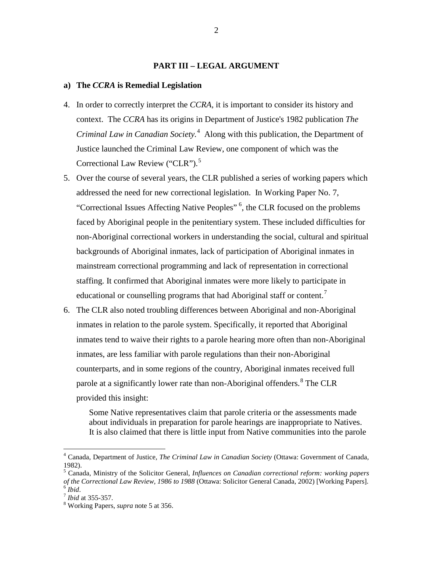#### **PART III – LEGAL ARGUMENT**

#### **a) The** *CCRA* **is Remedial Legislation**

- 4. In order to correctly interpret the *CCRA,* it is important to consider its history and context. The *CCRA* has its origins in Department of Justice's 1982 publication *The Criminal Law in Canadian Society.*[4](#page-7-0) Along with this publication, the Department of Justice launched the Criminal Law Review, one component of which was the Correctional Law Review ("CLR").<sup>[5](#page-7-1)</sup>
- 5. Over the course of several years, the CLR published a series of working papers which addressed the need for new correctional legislation. In Working Paper No. 7, "Correctional Issues Affecting Native Peoples" <sup>[6](#page-7-2)</sup>, the CLR focused on the problems faced by Aboriginal people in the penitentiary system. These included difficulties for non-Aboriginal correctional workers in understanding the social, cultural and spiritual backgrounds of Aboriginal inmates, lack of participation of Aboriginal inmates in mainstream correctional programming and lack of representation in correctional staffing. It confirmed that Aboriginal inmates were more likely to participate in educational or counselling programs that had Aboriginal staff or content.<sup>[7](#page-7-3)</sup>
- 6. The CLR also noted troubling differences between Aboriginal and non-Aboriginal inmates in relation to the parole system. Specifically, it reported that Aboriginal inmates tend to waive their rights to a parole hearing more often than non-Aboriginal inmates, are less familiar with parole regulations than their non-Aboriginal counterparts, and in some regions of the country, Aboriginal inmates received full parole at a significantly lower rate than non-Aboriginal offenders.<sup>[8](#page-7-4)</sup> The CLR provided this insight:

Some Native representatives claim that parole criteria or the assessments made about individuals in preparation for parole hearings are inappropriate to Natives. It is also claimed that there is little input from Native communities into the parole

<span id="page-7-0"></span><sup>4</sup> Canada, Department of Justice, *The Criminal Law in Canadian Society* (Ottawa: Government of Canada, 1982). 5 Canada, Ministry of the Solicitor General, *[Influences on Canadian correctional reform: working papers](https://www.publicsafety.gc.ca/lbrr/archives/ke%209410%20c6i%202002-eng.pdf)* 

<span id="page-7-1"></span>*[of the Correctional Law Review, 1986 to 1988](https://www.publicsafety.gc.ca/lbrr/archives/ke%209410%20c6i%202002-eng.pdf)* (Ottawa: Solicitor General Canada, 2002) [Working Papers]. <sup>6</sup> *Ibid*. 7 *Ibid* at 355-357. 8 Working Papers, *supra* note 5 at 356.

<span id="page-7-3"></span><span id="page-7-2"></span>

<span id="page-7-4"></span>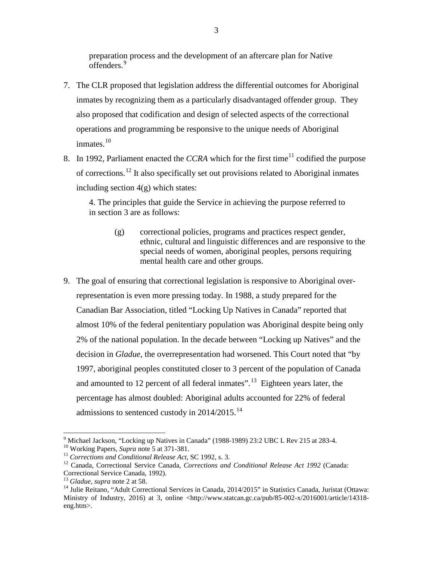preparation process and the development of an aftercare plan for Native offenders.[9](#page-8-0)

- 7. The CLR proposed that legislation address the differential outcomes for Aboriginal inmates by recognizing them as a particularly disadvantaged offender group. They also proposed that codification and design of selected aspects of the correctional operations and programming be responsive to the unique needs of Aboriginal inmates. $10$
- 8. In 1992, Parliament enacted the *CCRA* which for the first time<sup>[11](#page-8-2)</sup> codified the purpose of corrections.<sup>[12](#page-8-3)</sup> It also specifically set out provisions related to Aboriginal inmates including section  $4(g)$  which states:

4. The principles that guide the Service in achieving the purpose referred to in section 3 are as follows:

- (g) correctional policies, programs and practices respect gender, ethnic, cultural and linguistic differences and are responsive to the special needs of women, aboriginal peoples, persons requiring mental health care and other groups.
- 9. The goal of ensuring that correctional legislation is responsive to Aboriginal overrepresentation is even more pressing today. In 1988, a study prepared for the Canadian Bar Association, titled "Locking Up Natives in Canada" reported that almost 10% of the federal penitentiary population was Aboriginal despite being only 2% of the national population. In the decade between "Locking up Natives" and the decision in *Gladue*, the overrepresentation had worsened. This Court noted that "by 1997, aboriginal peoples constituted closer to 3 percent of the population of Canada and amounted to 12 percent of all federal inmates".<sup>[13](#page-8-4)</sup> Eighteen years later, the percentage has almost doubled: Aboriginal adults accounted for 22% of federal admissions to sentenced custody in  $2014/2015$ .<sup>14</sup>

<span id="page-8-1"></span><span id="page-8-0"></span><sup>&</sup>lt;sup>9</sup> Michael Jackson, "Locking up Natives in Canada" (1988-1989) 23:2 UBC L Rev 215 at 283-4.<br><sup>10</sup> Working Papers, *Supra* note 5 at 371-381.<br><sup>11</sup> Corrections and Conditional Release Act, SC 1992, s. 3.<br><sup>12</sup> Canada, Correc

<span id="page-8-2"></span>

<span id="page-8-3"></span>

<span id="page-8-5"></span><span id="page-8-4"></span><sup>&</sup>lt;sup>13</sup> Gladue, *supra* note 2 at 58.<br><sup>14</sup> Julie Reitano, "Adult Correctional Services in Canada, 2014/2015" in Statistics Canada, Juristat (Ottawa: Ministry of Industry, 2016) at 3, online <http://www.statcan.gc.ca/pub/85-002-x/2016001/article/14318eng.htm>.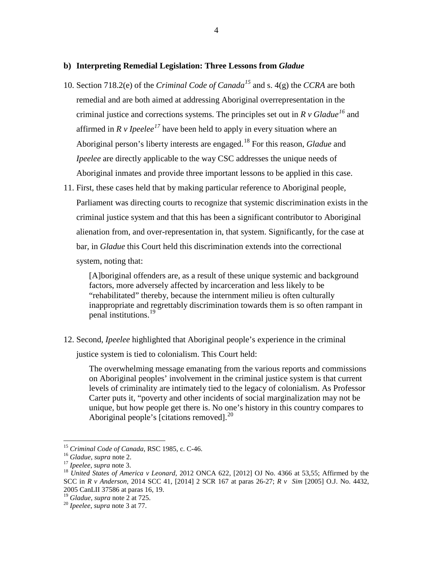#### **b) Interpreting Remedial Legislation: Three Lessons from** *Gladue*

- 10. Section 718.2(e) of the *Criminal Code of Canada[15](#page-9-0)* and s. 4(g) the *CCRA* are both remedial and are both aimed at addressing Aboriginal overrepresentation in the criminal justice and corrections systems. The principles set out in *R v Gladue[16](#page-9-1)* and affirmed in  $R \nu$  *Ipeelee*<sup>[17](#page-9-2)</sup> have been held to apply in every situation where an Aboriginal person's liberty interests are engaged.[18](#page-9-3) For this reason, *Gladue* and *Ipeelee* are directly applicable to the way CSC addresses the unique needs of Aboriginal inmates and provide three important lessons to be applied in this case.
- 11. First, these cases held that by making particular reference to Aboriginal people, Parliament was directing courts to recognize that systemic discrimination exists in the criminal justice system and that this has been a significant contributor to Aboriginal alienation from, and over-representation in, that system. Significantly, for the case at bar, in *Gladue* this Court held this discrimination extends into the correctional system, noting that:

[A]boriginal offenders are, as a result of these unique systemic and background factors, more adversely affected by incarceration and less likely to be "rehabilitated" thereby, because the internment milieu is often culturally inappropriate and regrettably discrimination towards them is so often rampant in penal institutions.<sup>[19](#page-9-4)</sup>

12. Second, *Ipeelee* highlighted that Aboriginal people's experience in the criminal

justice system is tied to colonialism. This Court held:

The overwhelming message emanating from the various reports and commissions on Aboriginal peoples' involvement in the criminal justice system is that current levels of criminality are intimately tied to the legacy of colonialism. As Professor Carter puts it, "poverty and other incidents of social marginalization may not be unique, but how people get there is. No one's history in this country compares to Aboriginal people's [citations removed].<sup>[20](#page-9-5)</sup>

<span id="page-9-5"></span><span id="page-9-4"></span><sup>19</sup> Gladue, *supra* note 2 at 725.<br><sup>20</sup> *Ipeelee*, *supra* note 3 at 77.

<span id="page-9-3"></span><span id="page-9-2"></span>

<span id="page-9-1"></span><span id="page-9-0"></span><sup>&</sup>lt;sup>15</sup> Criminal Code of Canada, RSC 1985, c. C-46.<br><sup>16</sup> Gladue, supra note 2.<br><sup>17</sup> Ipeelee, supra note 3.<br><sup>18</sup> United States of America v Leonard, 2012 ONCA 622, [2012] OJ No. 4366 at 53,55; Affirmed by the SCC in *R v Anderson*, 2014 SCC 41, [2014] 2 SCR 167 at paras 26-27; *R v Sim* [2005] O.J. No. 4432,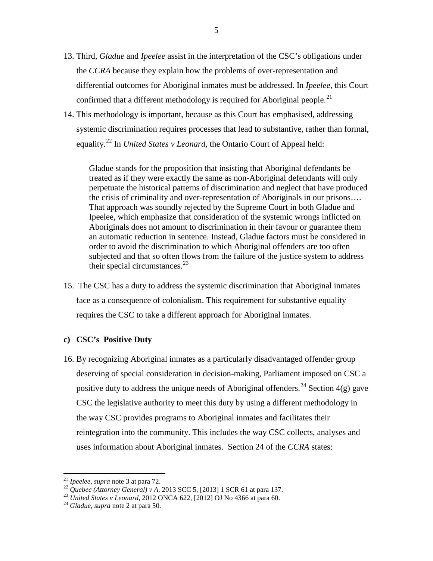- 13. Third, *Gladue* and *Ipeelee* assist in the interpretation of the CSC's obligations under the *CCRA* because they explain how the problems of over-representation and differential outcomes for Aboriginal inmates must be addressed. In *Ipeelee*, this Court confirmed that a different methodology is required for Aboriginal people.<sup>[21](#page-10-0)</sup>
- 14. This methodology is important, because as this Court has emphasised, addressing systemic discrimination requires processes that lead to substantive, rather than formal, equality.[22](#page-10-1) In *United States v Leonard,* the Ontario Court of Appeal held:

Gladue stands for the proposition that insisting that Aboriginal defendants be treated as if they were exactly the same as non-Aboriginal defendants will only perpetuate the historical patterns of discrimination and neglect that have produced the crisis of criminality and over-representation of Aboriginals in our prisons…. That approach was soundly rejected by the Supreme Court in both Gladue and Ipeelee, which emphasize that consideration of the systemic wrongs inflicted on Aboriginals does not amount to discrimination in their favour or guarantee them an automatic reduction in sentence. Instead, Gladue factors must be considered in order to avoid the discrimination to which Aboriginal offenders are too often subjected and that so often flows from the failure of the justice system to address their special circumstances.<sup>[23](#page-10-2)</sup>

15. The CSC has a duty to address the systemic discrimination that Aboriginal inmates face as a consequence of colonialism. This requirement for substantive equality requires the CSC to take a different approach for Aboriginal inmates.

#### **c) CSC's Positive Duty**

16. By recognizing Aboriginal inmates as a particularly disadvantaged offender group deserving of special consideration in decision-making, Parliament imposed on CSC a positive duty to address the unique needs of Aboriginal offenders.<sup>[24](#page-10-3)</sup> Section  $4(g)$  gave CSC the legislative authority to meet this duty by using a different methodology in the way CSC provides programs to Aboriginal inmates and facilitates their reintegration into the community. This includes the way CSC collects, analyses and uses information about Aboriginal inmates. Section 24 of the *CCRA* states:

<span id="page-10-1"></span><span id="page-10-0"></span><sup>&</sup>lt;sup>21</sup> Ipeelee, supra note 3 at para 72.<br><sup>22</sup> Quebec (Attorney General) v A, 2013 SCC 5, [2013] 1 SCR 61 at para 137.<br><sup>23</sup> United States v Leonard, 2012 ONCA 622, [2012] OJ No 4366 at para 60.<br><sup>24</sup> Gladue, supra note 2 at p

<span id="page-10-3"></span><span id="page-10-2"></span>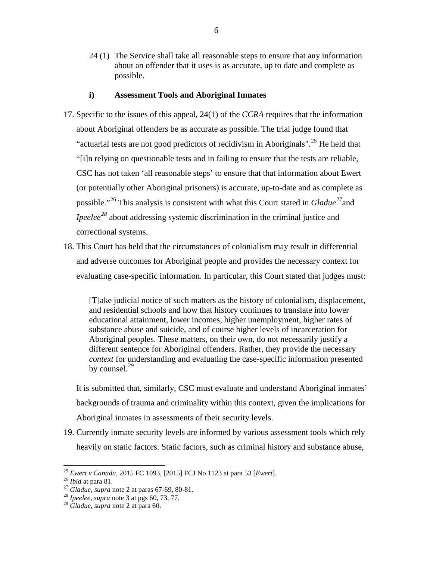24 (1) The Service shall take all reasonable steps to ensure that any information about an offender that it uses is as accurate, up to date and complete as possible.

#### **i) Assessment Tools and Aboriginal Inmates**

- 17. Specific to the issues of this appeal, 24(1) of the *CCRA* requires that the information about Aboriginal offenders be as accurate as possible. The trial judge found that "actuarial tests are not good predictors of recidivism in Aboriginals".<sup>[25](#page-11-0)</sup> He held that "[i]n relying on questionable tests and in failing to ensure that the tests are reliable, CSC has not taken 'all reasonable steps' to ensure that that information about Ewert (or potentially other Aboriginal prisoners) is accurate, up-to-date and as complete as possible."<sup>[26](#page-11-1)</sup> This analysis is consistent with what this Court stated in *Gladue*<sup>27</sup> and *Ipeelee*<sup>[28](#page-11-3)</sup> about addressing systemic discrimination in the criminal justice and correctional systems.
- 18. This Court has held that the circumstances of colonialism may result in differential and adverse outcomes for Aboriginal people and provides the necessary context for evaluating case-specific information. In particular, this Court stated that judges must:

[T]ake judicial notice of such matters as the history of colonialism, displacement, and residential schools and how that history continues to translate into lower educational attainment, lower incomes, higher unemployment, higher rates of substance abuse and suicide, and of course higher levels of incarceration for Aboriginal peoples. These matters, on their own, do not necessarily justify a different sentence for Aboriginal offenders. Rather, they provide the necessary *context* for understanding and evaluating the case-specific information presented by counsel. $^{29}$  $^{29}$  $^{29}$ 

It is submitted that, similarly, CSC must evaluate and understand Aboriginal inmates' backgrounds of trauma and criminality within this context, given the implications for Aboriginal inmates in assessments of their security levels.

19. Currently inmate security levels are informed by various assessment tools which rely heavily on static factors. Static factors, such as criminal history and substance abuse,

<span id="page-11-0"></span><sup>&</sup>lt;sup>25</sup> *Ewert v Canada*, 2015 FC 1093, [2015] FCJ No 1123 at para 53 *[Ewert]*.<br><sup>26</sup> *Ibid* at para 81.<br><sup>27</sup> *Gladue, supra* note 2 at paras 67-69, 80-81.<br><sup>28</sup> *Ipeelee, supra* note 3 at pgs 60, 73, 77.

<span id="page-11-1"></span>

<span id="page-11-3"></span><span id="page-11-2"></span>

<span id="page-11-4"></span><sup>29</sup> *Gladue, supra* note 2 at para 60.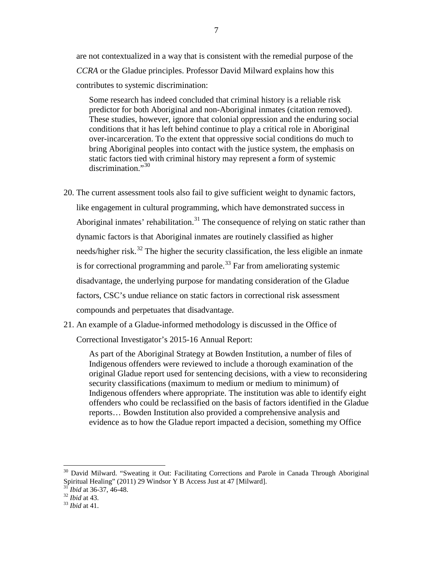are not contextualized in a way that is consistent with the remedial purpose of the *CCRA* or the Gladue principles. Professor David Milward explains how this contributes to systemic discrimination:

Some research has indeed concluded that criminal history is a reliable risk predictor for both Aboriginal and non-Aboriginal inmates (citation removed). These studies, however, ignore that colonial oppression and the enduring social conditions that it has left behind continue to play a critical role in Aboriginal over-incarceration. To the extent that oppressive social conditions do much to bring Aboriginal peoples into contact with the justice system, the emphasis on static factors tied with criminal history may represent a form of systemic discrimination."<sup>[30](#page-12-0)</sup>

- 20. The current assessment tools also fail to give sufficient weight to dynamic factors, like engagement in cultural programming, which have demonstrated success in Aboriginal inmates' rehabilitation.<sup>[31](#page-12-1)</sup> The consequence of relying on static rather than dynamic factors is that Aboriginal inmates are routinely classified as higher needs/higher risk.<sup>[32](#page-12-2)</sup> The higher the security classification, the less eligible an inmate is for correctional programming and parole.<sup>[33](#page-12-3)</sup> Far from ameliorating systemic disadvantage, the underlying purpose for mandating consideration of the Gladue factors, CSC's undue reliance on static factors in correctional risk assessment compounds and perpetuates that disadvantage.
- 21. An example of a Gladue-informed methodology is discussed in the Office of Correctional Investigator's 2015-16 Annual Report:

As part of the Aboriginal Strategy at Bowden Institution, a number of files of Indigenous offenders were reviewed to include a thorough examination of the original Gladue report used for sentencing decisions, with a view to reconsidering security classifications (maximum to medium or medium to minimum) of Indigenous offenders where appropriate. The institution was able to identify eight offenders who could be reclassified on the basis of factors identified in the Gladue reports… Bowden Institution also provided a comprehensive analysis and evidence as to how the Gladue report impacted a decision, something my Office

<span id="page-12-0"></span><sup>&</sup>lt;sup>30</sup> David Milward. "Sweating it Out: Facilitating Corrections and Parole in Canada Through Aboriginal Spiritual Healing" (2011) 29 Windsor Y B Access Just at 47 [Milward].<br><sup>31</sup> *Ibid* at 36-37, 46-48.<br><sup>32</sup> *Ibid* at 43.<br><sup>33</sup> *Ibid* at 41.

<span id="page-12-1"></span>

<span id="page-12-2"></span>

<span id="page-12-3"></span>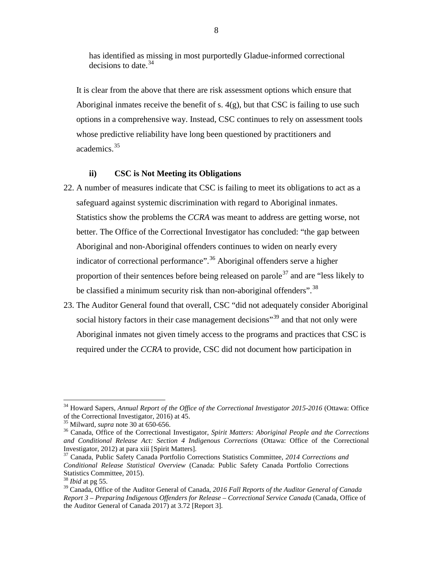has identified as missing in most purportedly Gladue-informed correctional decisions to date.  $34$ 

It is clear from the above that there are risk assessment options which ensure that Aboriginal inmates receive the benefit of s.  $4(g)$ , but that CSC is failing to use such options in a comprehensive way. Instead, CSC continues to rely on assessment tools whose predictive reliability have long been questioned by practitioners and academics.[35](#page-13-1)

#### **ii) CSC is Not Meeting its Obligations**

- 22. A number of measures indicate that CSC is failing to meet its obligations to act as a safeguard against systemic discrimination with regard to Aboriginal inmates. Statistics show the problems the *CCRA* was meant to address are getting worse, not better. The Office of the Correctional Investigator has concluded: "the gap between Aboriginal and non-Aboriginal offenders continues to widen on nearly every indicator of correctional performance".<sup>[36](#page-13-2)</sup> Aboriginal offenders serve a higher proportion of their sentences before being released on parole<sup>[37](#page-13-3)</sup> and are "less likely to be classified a minimum security risk than non-aboriginal offenders".<sup>[38](#page-13-4)</sup>
- 23. The Auditor General found that overall, CSC "did not adequately consider Aboriginal social history factors in their case management decisions<sup>[39](#page-13-5)</sup> and that not only were Aboriginal inmates not given timely access to the programs and practices that CSC is required under the *CCRA* to provide, CSC did not document how participation in

<span id="page-13-0"></span><sup>&</sup>lt;sup>34</sup> Howard Sapers, *[Annual Report of the Office of the Correctional Investigator](http://www.oci-bec.gc.ca/cnt/rpt/pdf/annrpt/annrpt20152016-eng.pdf)* 2015-2016 (Ottawa: Office of the Correctional Investigator, 2016) at 45.

<span id="page-13-2"></span><span id="page-13-1"></span><sup>&</sup>lt;sup>35</sup> Milward, *supra* note 30 at 650-656.<br><sup>36</sup> Canada, Office of the Correctional Investigator, *Spirit Matters: Aboriginal People and the Corrections and Conditional Release Act: Section 4 Indigenous Corrections* (Ottawa: Office of the Correctional Investigator, 2012) at para xiii [Spirit Matters].

<span id="page-13-3"></span><sup>&</sup>lt;sup>37</sup> Canada, Public Safety Canada Portfolio Corrections Statistics Committee, 2014 Corrections and *Conditional Release Statistical Overview* (Canada: Public Safety Canada Portfolio Corrections Statistics Committee, 2015).<br><sup>38</sup> *Ibid* at pg 55.<br><sup>39</sup> Canada, Office of the Auditor General of Canada, 2016 Fall Reports of the Auditor General of Canada

<span id="page-13-4"></span>

<span id="page-13-5"></span>*Report 3 – Preparing Indigenous Offenders for Release – Correctional Service Canada* (Canada, Office of the Auditor General of Canada 2017) at 3.72 [Report 3].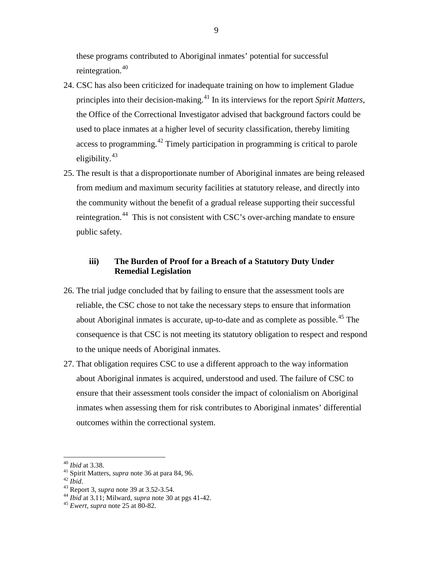these programs contributed to Aboriginal inmates' potential for successful reintegration.<sup>[40](#page-14-0)</sup>

- 24. CSC has also been criticized for inadequate training on how to implement Gladue principles into their decision-making.[41](#page-14-1) In its interviews for the report *Spirit Matters*, the Office of the Correctional Investigator advised that background factors could be used to place inmates at a higher level of security classification, thereby limiting access to programming.[42](#page-14-2) Timely participation in programming is critical to parole eligibility. $43$
- 25. The result is that a disproportionate number of Aboriginal inmates are being released from medium and maximum security facilities at statutory release, and directly into the community without the benefit of a gradual release supporting their successful reintegration.<sup>44</sup> This is not consistent with CSC's over-arching mandate to ensure public safety.

# **iii) The Burden of Proof for a Breach of a Statutory Duty Under Remedial Legislation**

- 26. The trial judge concluded that by failing to ensure that the assessment tools are reliable, the CSC chose to not take the necessary steps to ensure that information about Aboriginal inmates is accurate, up-to-date and as complete as possible.<sup>[45](#page-14-5)</sup> The consequence is that CSC is not meeting its statutory obligation to respect and respond to the unique needs of Aboriginal inmates.
- 27. That obligation requires CSC to use a different approach to the way information about Aboriginal inmates is acquired, understood and used. The failure of CSC to ensure that their assessment tools consider the impact of colonialism on Aboriginal inmates when assessing them for risk contributes to Aboriginal inmates' differential outcomes within the correctional system.

<span id="page-14-2"></span>

<span id="page-14-4"></span><span id="page-14-3"></span>

<span id="page-14-1"></span><span id="page-14-0"></span><sup>&</sup>lt;sup>40</sup> *Ibid* at 3.38.<br>
<sup>41</sup> Spirit Matters, *supra* note 36 at para 84, 96.<br>
<sup>42</sup> *Ibid.*<br>
<sup>43</sup> Report 3, *supra* note 39 at 3.52-3.54.<br>
<sup>44</sup> *Ibid* at 3.11; Milward, *supra* note 30 at pgs 41-42.<br>
<sup>45</sup> *Ewert, supra* note

<span id="page-14-5"></span>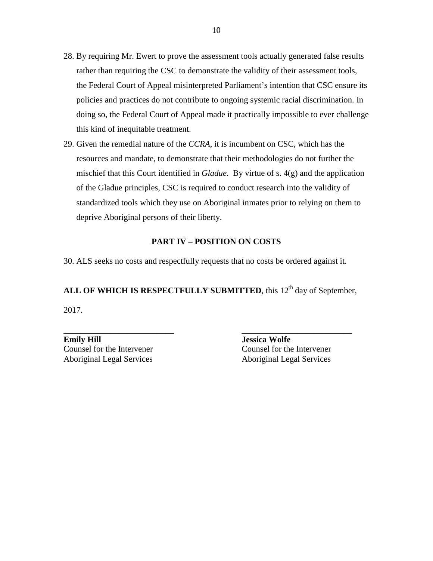- 28. By requiring Mr. Ewert to prove the assessment tools actually generated false results rather than requiring the CSC to demonstrate the validity of their assessment tools, the Federal Court of Appeal misinterpreted Parliament's intention that CSC ensure its policies and practices do not contribute to ongoing systemic racial discrimination. In doing so, the Federal Court of Appeal made it practically impossible to ever challenge this kind of inequitable treatment.
- 29. Given the remedial nature of the *CCRA*, it is incumbent on CSC, which has the resources and mandate, to demonstrate that their methodologies do not further the mischief that this Court identified in *Gladue*. By virtue of s. 4(g) and the application of the Gladue principles, CSC is required to conduct research into the validity of standardized tools which they use on Aboriginal inmates prior to relying on them to deprive Aboriginal persons of their liberty.

#### **PART IV – POSITION ON COSTS**

30. ALS seeks no costs and respectfully requests that no costs be ordered against it.

ALL OF WHICH IS RESPECTFULLY SUBMITTED, this 12<sup>th</sup> day of September, 2017.

**\_\_\_\_\_\_\_\_\_\_\_\_\_\_\_\_\_\_\_\_\_\_\_\_\_\_ \_\_\_\_\_\_\_\_\_\_\_\_\_\_\_\_\_\_\_\_\_\_\_\_\_\_** 

**Emily Hill**<br> **Emily Hill**<br> **Example 2011**<br> **Example 2013**<br> **Example 2013**<br> **Example 2013**<br> **Example 2014**<br> **Example 2014**<br> **Example 2014**<br> **Example 2014**<br> **Example 2014**<br> **Example 2014**<br> **Example 2014**<br> **Example 2014**<br> **E** Counsel for the Intervener Aboriginal Legal Services Aboriginal Legal Services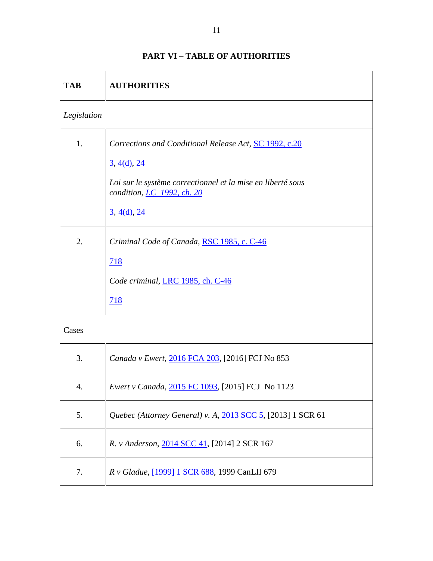| <b>TAB</b>  | <b>AUTHORITIES</b>                                                                                                                                                                                                          |
|-------------|-----------------------------------------------------------------------------------------------------------------------------------------------------------------------------------------------------------------------------|
| Legislation |                                                                                                                                                                                                                             |
| 1.          | Corrections and Conditional Release Act, SC 1992, c.20<br>$\frac{3}{2}$ , $\frac{4(d)}{24}$<br>Loi sur le système correctionnel et la mise en liberté sous<br>condition, <i>LC</i> 1992, ch. 20<br>$\frac{3}{2}$ , 4(d), 24 |
| 2.          | Criminal Code of Canada, RSC 1985, c. C-46<br>718<br>Code criminal, LRC 1985, ch. C-46<br>718                                                                                                                               |
| Cases       |                                                                                                                                                                                                                             |
| 3.          | Canada v Ewert, 2016 FCA 203, [2016] FCJ No 853                                                                                                                                                                             |
| 4.          | <i>Ewert v Canada</i> , 2015 FC 1093, [2015] FCJ No 1123                                                                                                                                                                    |
| 5.          | Quebec (Attorney General) v. A, 2013 SCC 5, [2013] 1 SCR 61                                                                                                                                                                 |
| 6.          | R. v Anderson, 2014 SCC 41, [2014] 2 SCR 167                                                                                                                                                                                |
| 7.          | R v Gladue, <a>[1999]</a> 1 SCR 688, 1999 Can<br>LII 679                                                                                                                                                                    |

# **PART VI – TABLE OF AUTHORITIES**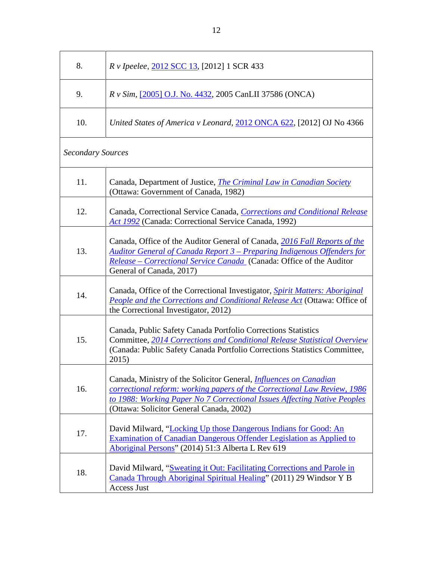| 8.                       | <i>R v</i> Ipeelee, 2012 SCC 13, [2012] 1 SCR 433                                                                                                                                                                                                                            |  |
|--------------------------|------------------------------------------------------------------------------------------------------------------------------------------------------------------------------------------------------------------------------------------------------------------------------|--|
| 9.                       | R v Sim, [2005] O.J. No. 4432, 2005 CanLII 37586 (ONCA)                                                                                                                                                                                                                      |  |
| 10.                      | United States of America v Leonard, 2012 ONCA 622, [2012] OJ No 4366                                                                                                                                                                                                         |  |
| <b>Secondary Sources</b> |                                                                                                                                                                                                                                                                              |  |
| 11.                      | Canada, Department of Justice, <i>The Criminal Law in Canadian Society</i><br>(Ottawa: Government of Canada, 1982)                                                                                                                                                           |  |
| 12.                      | Canada, Correctional Service Canada, Corrections and Conditional Release<br>Act 1992 (Canada: Correctional Service Canada, 1992)                                                                                                                                             |  |
| 13.                      | Canada, Office of the Auditor General of Canada, 2016 Fall Reports of the<br>Auditor General of Canada Report 3 – Preparing Indigenous Offenders for<br><u> Release – Correctional Service Canada</u> (Canada: Office of the Auditor<br>General of Canada, 2017)             |  |
| 14.                      | Canada, Office of the Correctional Investigator, <i>Spirit Matters: Aboriginal</i><br>People and the Corrections and Conditional Release Act (Ottawa: Office of<br>the Correctional Investigator, 2012)                                                                      |  |
| 15.                      | Canada, Public Safety Canada Portfolio Corrections Statistics<br>Committee, 2014 Corrections and Conditional Release Statistical Overview<br>(Canada: Public Safety Canada Portfolio Corrections Statistics Committee,<br>2015)                                              |  |
| 16.                      | Canada, Ministry of the Solicitor General, <i>Influences on Canadian</i><br>correctional reform: working papers of the Correctional Law Review, 1986<br>to 1988: Working Paper No 7 Correctional Issues Affecting Native Peoples<br>(Ottawa: Solicitor General Canada, 2002) |  |
| 17.                      | David Milward, "Locking Up those Dangerous Indians for Good: An<br><b>Examination of Canadian Dangerous Offender Legislation as Applied to</b><br>Aboriginal Persons" (2014) 51:3 Alberta L Rev 619                                                                          |  |
| 18.                      | David Milward, "Sweating it Out: Facilitating Corrections and Parole in<br>Canada Through Aboriginal Spiritual Healing" (2011) 29 Windsor Y B<br><b>Access Just</b>                                                                                                          |  |